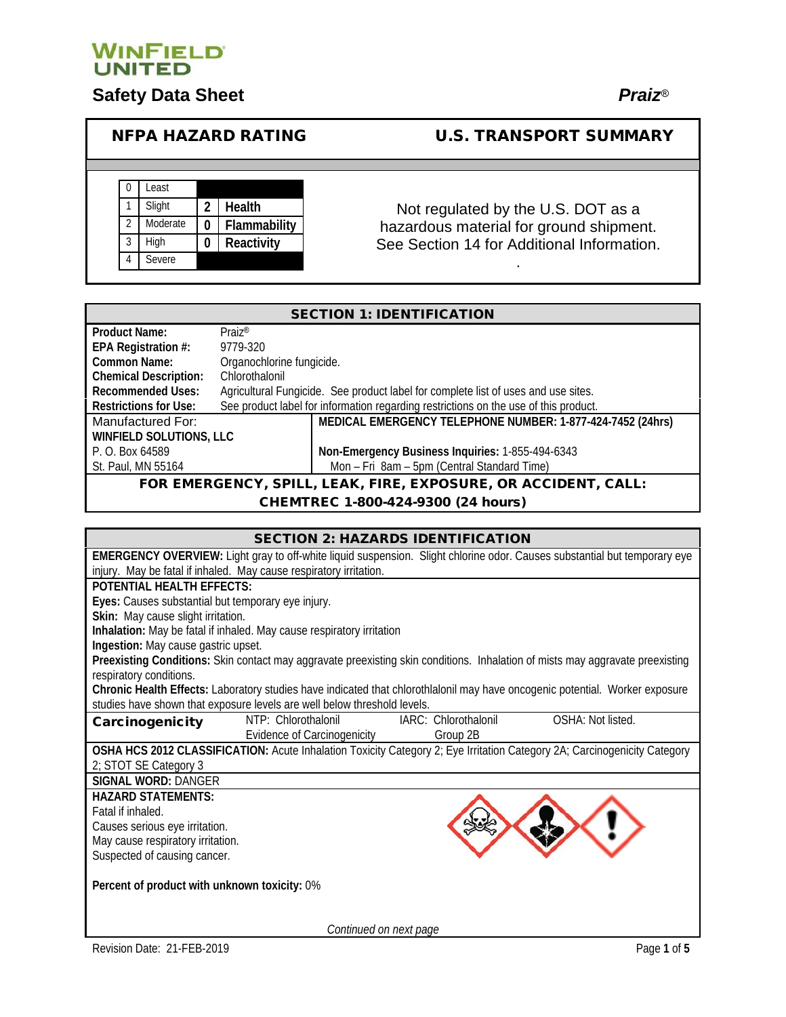

# **Safety Data Sheet** *Praiz®*

## NFPA HAZARD RATING U.S. TRANSPORT SUMMARY



### Not regulated by the U.S. DOT as a hazardous material for ground shipment. See Section 14 for Additional Information.

.

| <b>SECTION 1: IDENTIFICATION</b>                               |                                                                                      |                                                            |  |  |
|----------------------------------------------------------------|--------------------------------------------------------------------------------------|------------------------------------------------------------|--|--|
| <b>Product Name:</b>                                           | $Praiz^{\circledR}$                                                                  |                                                            |  |  |
| EPA Registration #:                                            | 9779-320                                                                             |                                                            |  |  |
| Common Name:                                                   | Organochlorine fungicide.                                                            |                                                            |  |  |
| <b>Chemical Description:</b>                                   | Chlorothalonil                                                                       |                                                            |  |  |
| <b>Recommended Uses:</b>                                       | Agricultural Fungicide. See product label for complete list of uses and use sites.   |                                                            |  |  |
| <b>Restrictions for Use:</b>                                   | See product label for information regarding restrictions on the use of this product. |                                                            |  |  |
| Manufactured For:                                              |                                                                                      | MEDICAL EMERGENCY TELEPHONE NUMBER: 1-877-424-7452 (24hrs) |  |  |
| <b>WINFIELD SOLUTIONS, LLC</b>                                 |                                                                                      |                                                            |  |  |
| P. O. Box 64589                                                |                                                                                      | Non-Emergency Business Inquiries: 1-855-494-6343           |  |  |
| St. Paul, MN 55164                                             |                                                                                      | Mon - Fri 8am - 5pm (Central Standard Time)                |  |  |
| FOR EMERGENCY, SPILL, LEAK, FIRE, EXPOSURE, OR ACCIDENT, CALL: |                                                                                      |                                                            |  |  |

CHEMTREC 1-800-424-9300 (24 hours)

| <b>SECTION 2: HAZARDS IDENTIFICATION</b>           |                                                                          |                      |                                                                                                                                  |  |  |
|----------------------------------------------------|--------------------------------------------------------------------------|----------------------|----------------------------------------------------------------------------------------------------------------------------------|--|--|
|                                                    |                                                                          |                      | <b>EMERGENCY OVERVIEW:</b> Light gray to off-white liquid suspension. Slight chlorine odor. Causes substantial but temporary eye |  |  |
|                                                    | injury. May be fatal if inhaled. May cause respiratory irritation.       |                      |                                                                                                                                  |  |  |
| POTENTIAL HEALTH FEFECTS:                          |                                                                          |                      |                                                                                                                                  |  |  |
| Eyes: Causes substantial but temporary eye injury. |                                                                          |                      |                                                                                                                                  |  |  |
| Skin: May cause slight irritation.                 |                                                                          |                      |                                                                                                                                  |  |  |
|                                                    | Inhalation: May be fatal if inhaled. May cause respiratory irritation    |                      |                                                                                                                                  |  |  |
| Ingestion: May cause gastric upset.                |                                                                          |                      |                                                                                                                                  |  |  |
|                                                    |                                                                          |                      | Preexisting Conditions: Skin contact may aggravate preexisting skin conditions. Inhalation of mists may aggravate preexisting    |  |  |
| respiratory conditions.                            |                                                                          |                      |                                                                                                                                  |  |  |
|                                                    |                                                                          |                      | Chronic Health Effects: Laboratory studies have indicated that chlorothlalonil may have oncogenic potential. Worker exposure     |  |  |
|                                                    | studies have shown that exposure levels are well below threshold levels. |                      |                                                                                                                                  |  |  |
| Carcinogenicity                                    | NTP: Chlorothalonil                                                      | IARC: Chlorothalonil | OSHA: Not listed.                                                                                                                |  |  |
|                                                    | Evidence of Carcinogenicity                                              | Group 2B             |                                                                                                                                  |  |  |
|                                                    |                                                                          |                      | OSHA HCS 2012 CLASSIFICATION: Acute Inhalation Toxicity Category 2; Eye Irritation Category 2A; Carcinogenicity Category         |  |  |
| 2; STOT SE Category 3                              |                                                                          |                      |                                                                                                                                  |  |  |
| SIGNAL WORD: DANGER                                |                                                                          |                      |                                                                                                                                  |  |  |
| <b>HAZARD STATEMENTS:</b>                          |                                                                          |                      |                                                                                                                                  |  |  |
| Fatal if inhaled.                                  |                                                                          |                      |                                                                                                                                  |  |  |
| Causes serious eye irritation.                     |                                                                          |                      |                                                                                                                                  |  |  |
| May cause respiratory irritation.                  |                                                                          |                      |                                                                                                                                  |  |  |
| Suspected of causing cancer.                       |                                                                          |                      |                                                                                                                                  |  |  |
|                                                    |                                                                          |                      |                                                                                                                                  |  |  |
| Percent of product with unknown toxicity: 0%       |                                                                          |                      |                                                                                                                                  |  |  |
|                                                    |                                                                          |                      |                                                                                                                                  |  |  |
|                                                    | Continued on next page                                                   |                      |                                                                                                                                  |  |  |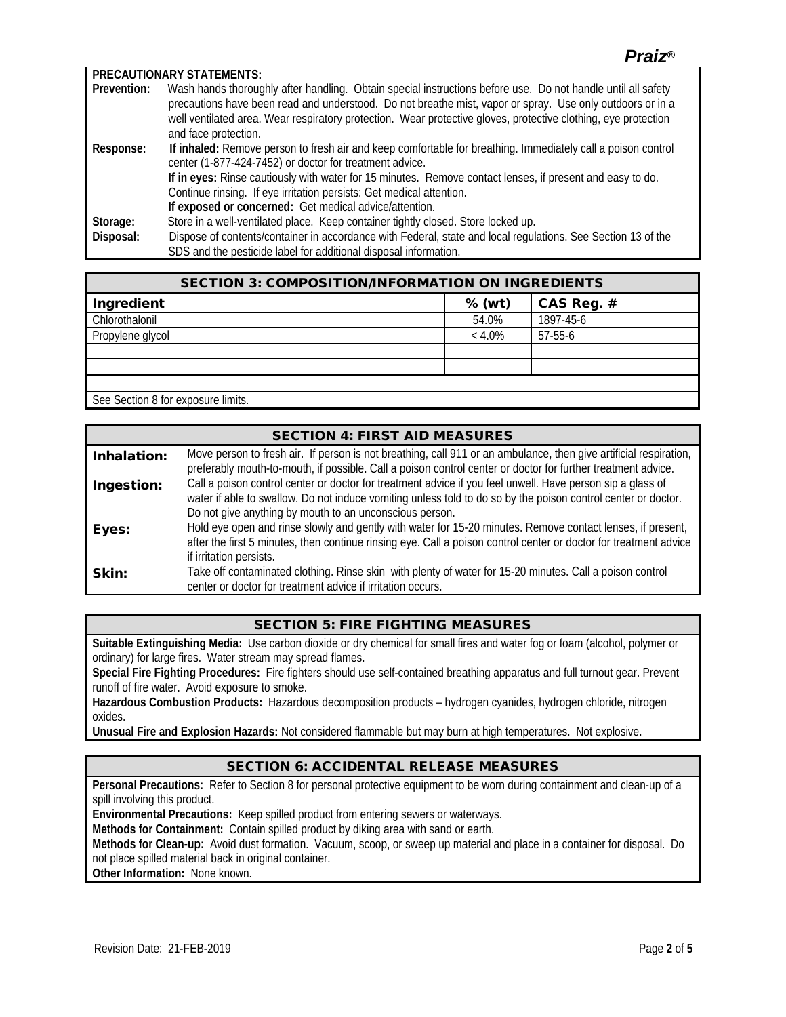### *Praiz®*

#### **PRECAUTIONARY STATEMENTS:**

| Prevention: | Wash hands thoroughly after handling. Obtain special instructions before use. Do not handle until all safety   |
|-------------|----------------------------------------------------------------------------------------------------------------|
|             | precautions have been read and understood. Do not breathe mist, vapor or spray. Use only outdoors or in a      |
|             | well ventilated area. Wear respiratory protection. Wear protective gloves, protective clothing, eye protection |
|             | and face protection.                                                                                           |
| Response:   | If inhaled: Remove person to fresh air and keep comfortable for breathing. Immediately call a poison control   |
|             | center (1-877-424-7452) or doctor for treatment advice.                                                        |
|             | If in eyes: Rinse cautiously with water for 15 minutes. Remove contact lenses, if present and easy to do.      |
|             | Continue rinsing. If eye irritation persists: Get medical attention.                                           |
|             | If exposed or concerned: Get medical advice/attention.                                                         |
| Storage:    | Store in a well-ventilated place. Keep container tightly closed. Store locked up.                              |
| Disposal:   | Dispose of contents/container in accordance with Federal, state and local regulations. See Section 13 of the   |
|             | SDS and the pesticide label for additional disposal information.                                               |

| <b>SECTION 3: COMPOSITION/INFORMATION ON INGREDIENTS</b> |            |  |  |
|----------------------------------------------------------|------------|--|--|
| % (wt)                                                   | CAS Reg. # |  |  |
| 54.0%                                                    | 1897-45-6  |  |  |
| $< 4.0\%$                                                | $57-55-6$  |  |  |
|                                                          |            |  |  |
|                                                          |            |  |  |
|                                                          |            |  |  |
|                                                          |            |  |  |

See Section 8 for exposure limits.

|             | <b>SECTION 4: FIRST AID MEASURES</b>                                                                                                                                                                                                                                                   |
|-------------|----------------------------------------------------------------------------------------------------------------------------------------------------------------------------------------------------------------------------------------------------------------------------------------|
| Inhalation: | Move person to fresh air. If person is not breathing, call 911 or an ambulance, then give artificial respiration,<br>preferably mouth-to-mouth, if possible. Call a poison control center or doctor for further treatment advice.                                                      |
| Ingestion:  | Call a poison control center or doctor for treatment advice if you feel unwell. Have person sip a glass of<br>water if able to swallow. Do not induce vomiting unless told to do so by the poison control center or doctor.<br>Do not give anything by mouth to an unconscious person. |
| Eyes:       | Hold eye open and rinse slowly and gently with water for 15-20 minutes. Remove contact lenses, if present,<br>after the first 5 minutes, then continue rinsing eye. Call a poison control center or doctor for treatment advice<br>if irritation persists.                             |
| Skin:       | Take off contaminated clothing. Rinse skin with plenty of water for 15-20 minutes. Call a poison control<br>center or doctor for treatment advice if irritation occurs.                                                                                                                |

#### SECTION 5: FIRE FIGHTING MEASURES

**Suitable Extinguishing Media:** Use carbon dioxide or dry chemical for small fires and water fog or foam (alcohol, polymer or ordinary) for large fires. Water stream may spread flames.

**Special Fire Fighting Procedures:** Fire fighters should use self-contained breathing apparatus and full turnout gear. Prevent runoff of fire water. Avoid exposure to smoke.

**Hazardous Combustion Products:** Hazardous decomposition products – hydrogen cyanides, hydrogen chloride, nitrogen oxides.

**Unusual Fire and Explosion Hazards:** Not considered flammable but may burn at high temperatures. Not explosive.

#### SECTION 6: ACCIDENTAL RELEASE MEASURES

**Personal Precautions:** Refer to Section 8 for personal protective equipment to be worn during containment and clean-up of a spill involving this product.

**Environmental Precautions:** Keep spilled product from entering sewers or waterways.

**Methods for Containment:** Contain spilled product by diking area with sand or earth.

**Methods for Clean-up:** Avoid dust formation. Vacuum, scoop, or sweep up material and place in a container for disposal. Do not place spilled material back in original container.

**Other Information:** None known.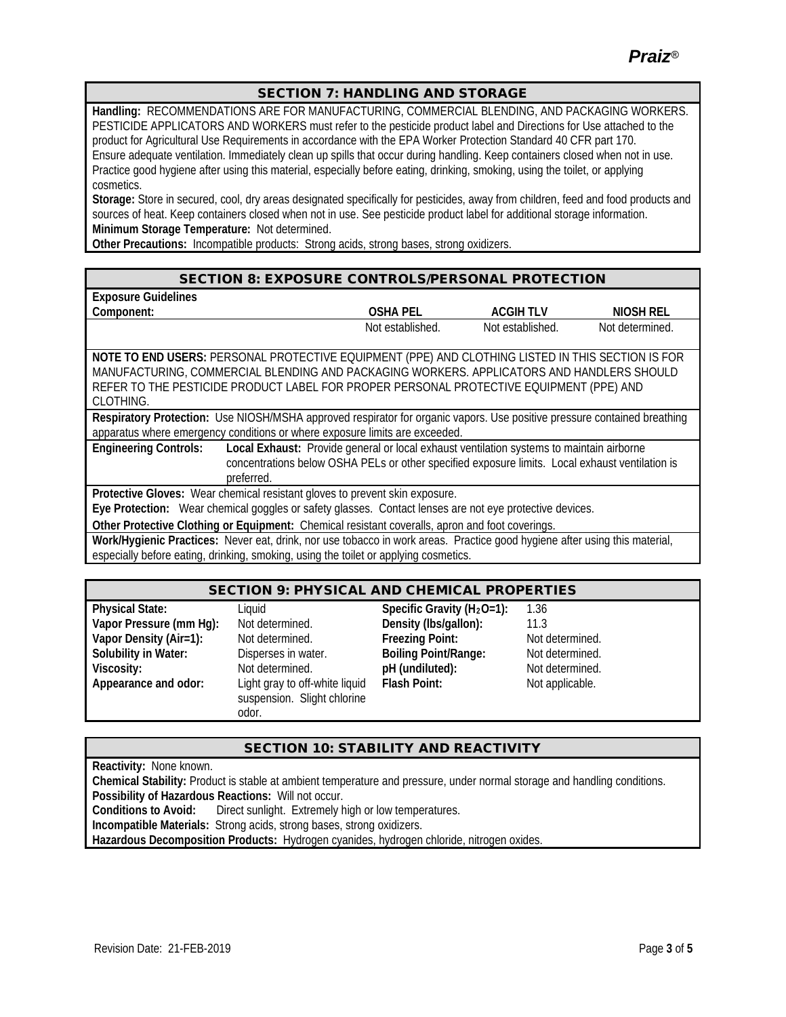*Praiz®*

#### SECTION 7: HANDLING AND STORAGE

**Handling:** RECOMMENDATIONS ARE FOR MANUFACTURING, COMMERCIAL BLENDING, AND PACKAGING WORKERS. PESTICIDE APPLICATORS AND WORKERS must refer to the pesticide product label and Directions for Use attached to the product for Agricultural Use Requirements in accordance with the EPA Worker Protection Standard 40 CFR part 170. Ensure adequate ventilation. Immediately clean up spills that occur during handling. Keep containers closed when not in use. Practice good hygiene after using this material, especially before eating, drinking, smoking, using the toilet, or applying cosmetics.

**Storage:** Store in secured, cool, dry areas designated specifically for pesticides, away from children, feed and food products and sources of heat. Keep containers closed when not in use. See pesticide product label for additional storage information. **Minimum Storage Temperature:** Not determined.

**Other Precautions:** Incompatible products: Strong acids, strong bases, strong oxidizers.

#### SECTION 8: EXPOSURE CONTROLS/PERSONAL PROTECTION

| <b>Exposure Guidelines</b> |                  |                  |                 |
|----------------------------|------------------|------------------|-----------------|
| Component.                 | OSHA PEI         | <b>ACGIH TLV</b> | NIOSH REL       |
|                            | Not established. | Not established. | Not determined. |

**NOTE TO END USERS:** PERSONAL PROTECTIVE EQUIPMENT (PPE) AND CLOTHING LISTED IN THIS SECTION IS FOR MANUFACTURING, COMMERCIAL BLENDING AND PACKAGING WORKERS. APPLICATORS AND HANDLERS SHOULD REFER TO THE PESTICIDE PRODUCT LABEL FOR PROPER PERSONAL PROTECTIVE EQUIPMENT (PPE) AND CLOTHING.

**Respiratory Protection:** Use NIOSH/MSHA approved respirator for organic vapors. Use positive pressure contained breathing apparatus where emergency conditions or where exposure limits are exceeded.

**Engineering Controls: Local Exhaust:** Provide general or local exhaust ventilation systems to maintain airborne concentrations below OSHA PELs or other specified exposure limits. Local exhaust ventilation is preferred

**Protective Gloves:** Wear chemical resistant gloves to prevent skin exposure.

**Eye Protection:** Wear chemical goggles or safety glasses. Contact lenses are not eye protective devices.

**Other Protective Clothing or Equipment:** Chemical resistant coveralls, apron and foot coverings.

**Work/Hygienic Practices:** Never eat, drink, nor use tobacco in work areas. Practice good hygiene after using this material, especially before eating, drinking, smoking, using the toilet or applying cosmetics.

#### SECTION 9: PHYSICAL AND CHEMICAL PROPERTIES

**Physical State:** Liquid **Specific Gravity (H<sub>2</sub>O=1): 1.36 Vapor Pressure (mm Hg):** Not determined. **Density (lbs/gallon):** 11.3 **Vapor Density (Air=1):** Not determined. **Freezing Point:** Not determined. **Solubility in Water:** Disperses in water. **Boiling Point/Range:** Not determined. **Viscosity:** Not determined. **pH (undiluted):** Not determined. **Appearance and odor:** Light gray to off-white liquid

suspension. Slight chlorine odor.

**Flash Point:** Not applicable.

#### SECTION 10: STABILITY AND REACTIVITY

**Reactivity:** None known. **Chemical Stability:** Product is stable at ambient temperature and pressure, under normal storage and handling conditions. **Possibility of Hazardous Reactions:** Will not occur. **Conditions to Avoid:** Direct sunlight. Extremely high or low temperatures. **Incompatible Materials:** Strong acids, strong bases, strong oxidizers. **Hazardous Decomposition Products:** Hydrogen cyanides, hydrogen chloride, nitrogen oxides.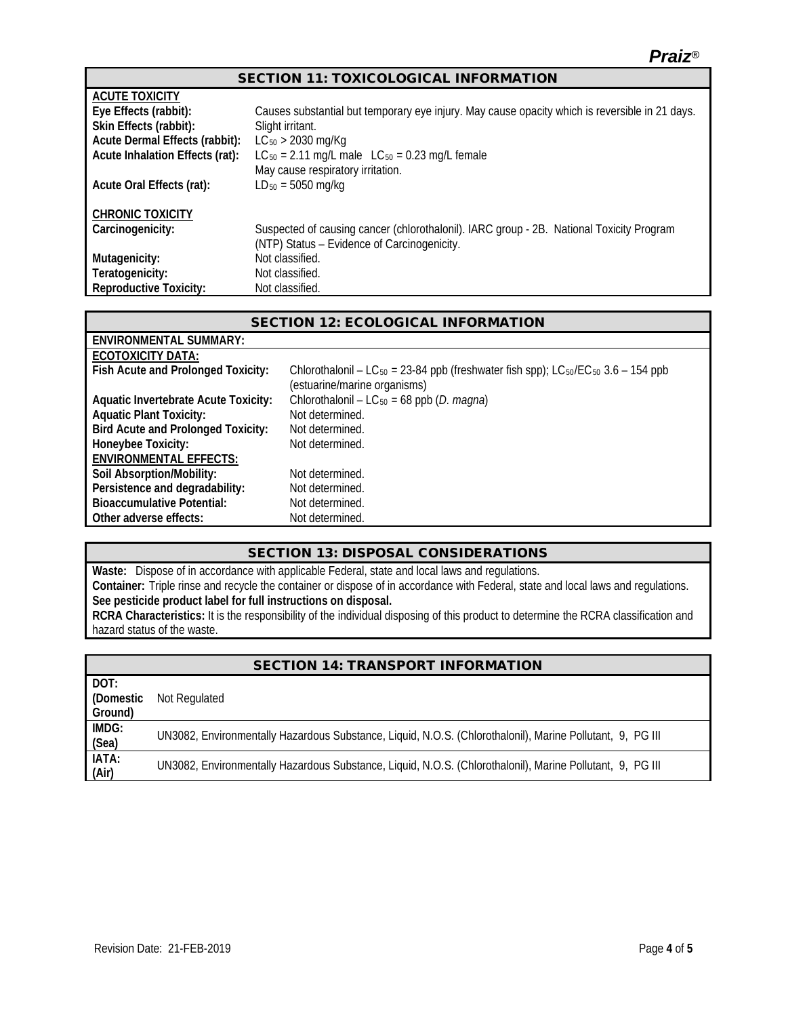| <b>SECTION 11: TOXICOLOGICAL INFORMATION</b> |  |
|----------------------------------------------|--|
|----------------------------------------------|--|

| <b>ACUTE TOXICITY</b>           |                                                                                                |
|---------------------------------|------------------------------------------------------------------------------------------------|
| Eye Effects (rabbit):           | Causes substantial but temporary eye injury. May cause opacity which is reversible in 21 days. |
| Skin Effects (rabbit):          | Slight irritant.                                                                               |
| Acute Dermal Effects (rabbit):  | $LC_{50}$ > 2030 mg/Kg                                                                         |
| Acute Inhalation Effects (rat): | $LC_{50} = 2.11$ mg/L male $LC_{50} = 0.23$ mg/L female                                        |
|                                 | May cause respiratory irritation.                                                              |
| Acute Oral Effects (rat):       | $LD_{50} = 5050$ mg/kg                                                                         |
|                                 |                                                                                                |
| <b>CHRONIC TOXICITY</b>         |                                                                                                |
| Carcinogenicity:                | Suspected of causing cancer (chlorothalonil). IARC group - 2B. National Toxicity Program       |
|                                 | (NTP) Status - Evidence of Carcinogenicity.                                                    |
| Mutagenicity:                   | Not classified.                                                                                |
| Teratogenicity:                 | Not classified.                                                                                |
| <b>Reproductive Toxicity:</b>   | Not classified.                                                                                |

| <b>SECTION 12: ECOLOGICAL INFORMATION</b>   |                                                                                                                                                       |  |  |  |
|---------------------------------------------|-------------------------------------------------------------------------------------------------------------------------------------------------------|--|--|--|
| ENVIRONMENTAL SUMMARY:                      |                                                                                                                                                       |  |  |  |
| ECOTOXICITY DATA:                           |                                                                                                                                                       |  |  |  |
| Fish Acute and Prolonged Toxicity:          | Chlorothalonil – LC <sub>50</sub> = 23-84 ppb (freshwater fish spp); LC <sub>50</sub> /EC <sub>50</sub> 3.6 – 154 ppb<br>(estuarine/marine organisms) |  |  |  |
| <b>Aquatic Invertebrate Acute Toxicity:</b> | Chlorothalonil – LC <sub>50</sub> = 68 ppb ( <i>D. magna</i> )                                                                                        |  |  |  |
| <b>Aquatic Plant Toxicity:</b>              | Not determined.                                                                                                                                       |  |  |  |
| <b>Bird Acute and Prolonged Toxicity:</b>   | Not determined.                                                                                                                                       |  |  |  |
| Honeybee Toxicity:                          | Not determined.                                                                                                                                       |  |  |  |
| <b>ENVIRONMENTAL EFFECTS:</b>               |                                                                                                                                                       |  |  |  |
| Soil Absorption/Mobility:                   | Not determined.                                                                                                                                       |  |  |  |
| Persistence and degradability:              | Not determined.                                                                                                                                       |  |  |  |
| <b>Bioaccumulative Potential:</b>           | Not determined.                                                                                                                                       |  |  |  |
| Other adverse effects:                      | Not determined.                                                                                                                                       |  |  |  |

#### SECTION 13: DISPOSAL CONSIDERATIONS

**Waste:** Dispose of in accordance with applicable Federal, state and local laws and regulations.

**Container:** Triple rinse and recycle the container or dispose of in accordance with Federal, state and local laws and regulations. **See pesticide product label for full instructions on disposal.**

**RCRA Characteristics:** It is the responsibility of the individual disposing of this product to determine the RCRA classification and hazard status of the waste.

| <b>SECTION 14: TRANSPORT INFORMATION</b> |                                                                                                           |  |  |  |
|------------------------------------------|-----------------------------------------------------------------------------------------------------------|--|--|--|
| DOT:                                     |                                                                                                           |  |  |  |
| (Domestic                                | Not Regulated                                                                                             |  |  |  |
| Ground)                                  |                                                                                                           |  |  |  |
| IMDG:                                    | UN3082, Environmentally Hazardous Substance, Liquid, N.O.S. (Chlorothalonil), Marine Pollutant, 9, PG III |  |  |  |
| (Sea)                                    |                                                                                                           |  |  |  |
| IATA:                                    | UN3082, Environmentally Hazardous Substance, Liquid, N.O.S. (Chlorothalonil), Marine Pollutant, 9, PG III |  |  |  |
| (Air)                                    |                                                                                                           |  |  |  |